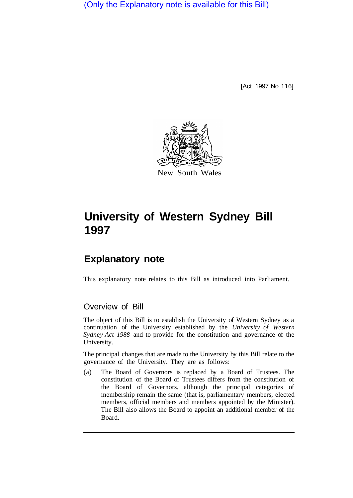(Only the Explanatory note is available for this Bill)

[Act 1997 No 116]



# **University of Western Sydney Bill 1997**

# **Explanatory note**

This explanatory note relates to this Bill as introduced into Parliament.

## Overview of Bill

The object of this Bill is to establish the University of Western Sydney as a continuation of the University established by the *University of Western Sydney Act 1988* and to provide for the constitution and governance of the University.

The principal changes that are made to the University by this Bill relate to the governance of the University. They are as follows:

(a) The Board of Governors is replaced by a Board of Trustees. The constitution of the Board of Trustees differs from the constitution of the Board of Governors, although the principal categories of membership remain the same (that is, parliamentary members, elected members, official members and members appointed by the Minister). The Bill also allows the Board to appoint an additional member of the Board.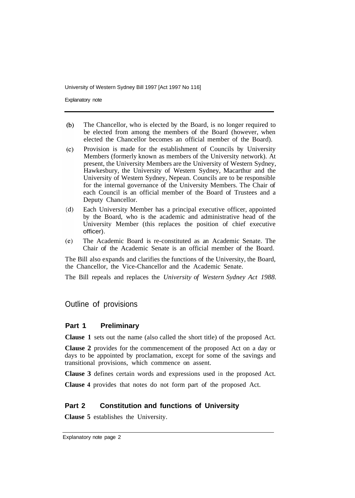Explanatory note

- $(b)$ The Chancellor, who is elected by the Board, is no longer required to be elected from among the members of the Board (however, when elected the Chancellor becomes an official member of the Board).
- Provision is made for the establishment of Councils by University  $(c)$ Members (formerly known as members of the University network). At present, the University Members are the University of Western Sydney, Hawkesbury, the University of Western Sydney, Macarthur and the University of Western Sydney, Nepean. Councils are to be responsible for the internal governance of the University Members. The Chair of each Council is an official member of the Board of Trustees and a Deputy Chancellor.
- $(d)$ Each University Member has a principal executive officer, appointed by the Board, who is the academic and administrative head of the University Member (this replaces the position of chief executive officer).
- The Academic Board is re-constituted as an Academic Senate. The  $(e)$ Chair of the Academic Senate is an official member of the Board.

The Bill also expands and clarifies the functions of the University, the Board, the Chancellor, the Vice-Chancellor and the Academic Senate.

The Bill repeals and replaces the *University of Western Sydney Act 1988.* 

### Outline of provisions

#### **Part 1 Preliminary**

**Clause 1** sets out the name (also called the short title) of the proposed Act.

**Clause 2** provides for the commencement of the proposed Act on a day or days to be appointed by proclamation, except for some of the savings and transitional provisions, which commence on assent.

**Clause 3** defines certain words and expressions used in the proposed Act.

**Clause 4** provides that notes do not form part of the proposed Act.

#### **Part 2 Constitution and functions of University**

**Clause 5** establishes the University.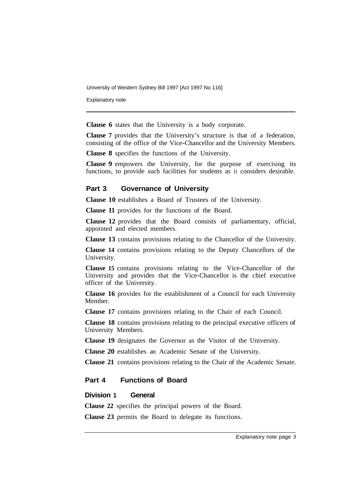Explanatory note

**Clause 6** states that the University is a body corporate.

**Clause 7** provides that the University's structure is that of a federation, consisting of the office of the Vice-Chancellor and the University Members.

**Clause 8** specifies the functions of the University.

**Clause 9** empowers the University, for the purpose of exercising its functions, to provide such facilities for students as it considers desirable.

#### **Part 3 Governance of University**

**Clause 10** establishes a Board of Trustees of the University.

**Clause 11** provides for the functions of the Board.

**Clause 12** provides that the Board consists of parliamentary, official, appointed and elected members.

**Clause 13** contains provisions relating to the Chancellor of the University.

**Clause 14** contains provisions relating to the Deputy Chancellors of the University.

**Clause 15** contains provisions relating to the Vice-Chancellor of the University and provides that the Vice-Chancellor is the chief executive officer of the University.

**Clause 16** provides for the establishment of a Council for each University Member.

**Clause 17** contains provisions relating to the Chair of each Council.

**Clause 18** contains provisions relating to the principal executive officers of University Members.

**Clause 19** designates the Governor as the Visitor of the University.

**Clause 20** establishes an Academic Senate of the University.

**Clause 21** contains provisions relating to the Chair of the Academic Senate.

#### **Part 4 Functions of Board**

#### **Division 1 General**

**Clause 22** specifies the principal powers of the Board.

**Clause 23** permits the Board to delegate its functions.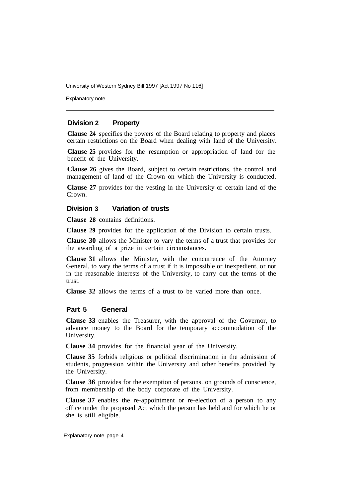Explanatory note

#### **Division 2 Property**

**Clause 24** specifies the powers of the Board relating to property and places certain restrictions on the Board when dealing with land of the University.

**Clause 25** provides for the resumption or appropriation of land for the benefit of the University.

**Clause 26** gives the Board, subject to certain restrictions, the control and management of land of the Crown on which the University is conducted.

**Clause 27** provides for the vesting in the University of certain land of the Crown.

#### **Division 3 Variation of trusts**

**Clause 28** contains definitions.

**Clause 29** provides for the application of the Division to certain trusts.

**Clause 30** allows the Minister to vary the terms of a trust that provides for the awarding of a prize in certain circumstances.

**Clause 31** allows the Minister, with the concurrence of the Attorney General, to vary the terms of a trust if it is impossible or inexpedient, or not in the reasonable interests of the University, to carry out the terms of the trust.

**Clause 32** allows the terms of a trust to be varied more than once.

#### **Part 5 General**

**Clause 33** enables the Treasurer, with the approval of the Governor, to advance money to the Board for the temporary accommodation of the University.

**Clause 34** provides for the financial year of the University.

**Clause 35** forbids religious or political discrimination in the admission of students, progression within the University and other benefits provided by the University.

**Clause 36** provides for the exemption of persons. on grounds of conscience, from membership of the body corporate of the University.

**Clause 37** enables the re-appointment or re-election of a person to any office under the proposed Act which the person has held and for which he or she is still eligible.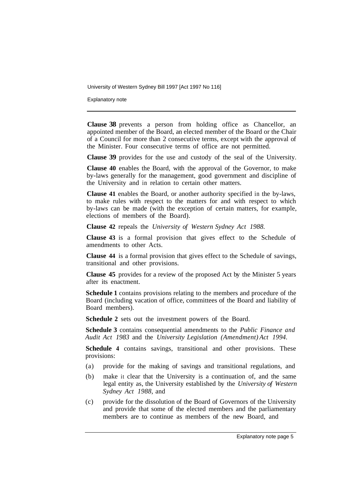Explanatory note

**Clause 38** prevents a person from holding office as Chancellor, an appointed member of the Board, an elected member of the Board or the Chair of a Council for more than 2 consecutive terms, except with the approval of the Minister. Four consecutive terms of office are not permitted.

**Clause 39** provides for the use and custody of the seal of the University.

**Clause 40** enables the Board, with the approval of the Governor, to make by-laws generally for the management, good government and discipline of the University and in relation to certain other matters.

**Clause 41** enables the Board, or another authority specified in the by-laws, to make rules with respect to the matters for and with respect to which by-laws can be made (with the exception of certain matters, for example, elections of members of the Board).

**Clause 42** repeals the *University of Western Sydney Act 1988.* 

**Clause 43** is a formal provision that gives effect to the Schedule of amendments to other Acts.

**Clause 44** is a formal provision that gives effect to the Schedule of savings, transitional and other provisions.

**Clause 45** provides for a review of the proposed Act by the Minister 5 years after its enactment.

**Schedule 1** contains provisions relating to the members and procedure of the Board (including vacation of office, committees of the Board and liability of Board members).

**Schedule 2** sets out the investment powers of the Board.

**Schedule 3** contains consequential amendments to the *Public Finance and Audit Act 1983* and the *University Legislation (Amendment) Act 1994.* 

**Schedule 4** contains savings, transitional and other provisions. These provisions:

- (a) provide for the making of savings and transitional regulations, and
- (b) make it clear that the University is a continuation of, and the same legal entity as, the University established by the *University of Western Sydney Act 1988,* and
- (c) provide for the dissolution of the Board of Governors of the University and provide that some of the elected members and the parliamentary members are to continue as members of the new Board, and